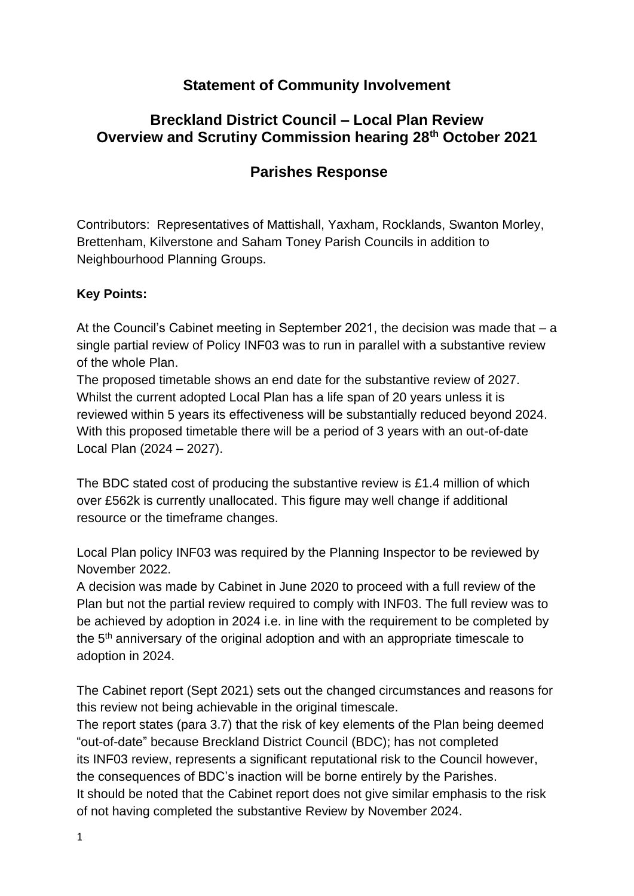## **Statement of Community Involvement**

### **Breckland District Council – Local Plan Review Overview and Scrutiny Commission hearing 28th October 2021**

# **Parishes Response**

Contributors: Representatives of Mattishall, Yaxham, Rocklands, Swanton Morley, Brettenham, Kilverstone and Saham Toney Parish Councils in addition to Neighbourhood Planning Groups.

#### **Key Points:**

At the Council's Cabinet meeting in September 2021, the decision was made that – a single partial review of Policy INF03 was to run in parallel with a substantive review of the whole Plan.

The proposed timetable shows an end date for the substantive review of 2027. Whilst the current adopted Local Plan has a life span of 20 years unless it is reviewed within 5 years its effectiveness will be substantially reduced beyond 2024. With this proposed timetable there will be a period of 3 years with an out-of-date Local Plan (2024 – 2027).

The BDC stated cost of producing the substantive review is £1.4 million of which over £562k is currently unallocated. This figure may well change if additional resource or the timeframe changes.

Local Plan policy INF03 was required by the Planning Inspector to be reviewed by November 2022.

A decision was made by Cabinet in June 2020 to proceed with a full review of the Plan but not the partial review required to comply with INF03. The full review was to be achieved by adoption in 2024 i.e. in line with the requirement to be completed by the 5<sup>th</sup> anniversary of the original adoption and with an appropriate timescale to adoption in 2024.

The Cabinet report (Sept 2021) sets out the changed circumstances and reasons for this review not being achievable in the original timescale.

The report states (para 3.7) that the risk of key elements of the Plan being deemed "out-of-date" because Breckland District Council (BDC); has not completed its INF03 review, represents a significant reputational risk to the Council however, the consequences of BDC's inaction will be borne entirely by the Parishes. It should be noted that the Cabinet report does not give similar emphasis to the risk of not having completed the substantive Review by November 2024.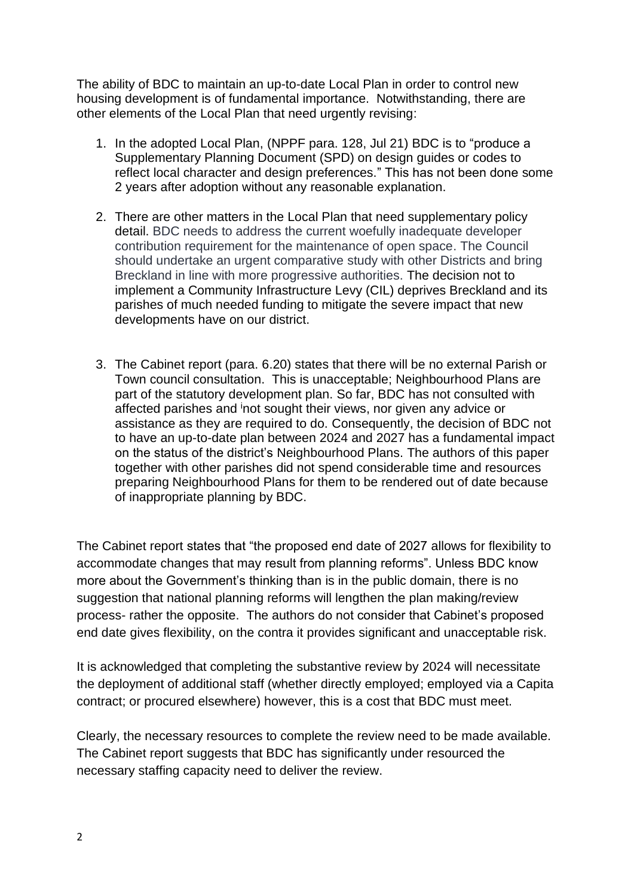The ability of BDC to maintain an up-to-date Local Plan in order to control new housing development is of fundamental importance. Notwithstanding, there are other elements of the Local Plan that need urgently revising:

- 1. In the adopted Local Plan, (NPPF para. 128, Jul 21) BDC is to "produce a Supplementary Planning Document (SPD) on design guides or codes to reflect local character and design preferences." This has not been done some 2 years after adoption without any reasonable explanation.
- 2. There are other matters in the Local Plan that need supplementary policy detail. BDC needs to address the current woefully inadequate developer contribution requirement for the maintenance of open space. The Council should undertake an urgent comparative study with other Districts and bring Breckland in line with more progressive authorities. The decision not to implement a Community Infrastructure Levy (CIL) deprives Breckland and its parishes of much needed funding to mitigate the severe impact that new developments have on our district.
- 3. The Cabinet report (para. 6.20) states that there will be no external Parish or Town council consultation. This is unacceptable; Neighbourhood Plans are part of the statutory development plan. So far, BDC has not consulted with affected parishes and <sup>i</sup>not sought their views, nor given any advice or assistance as they are required to do. Consequently, the decision of BDC not to have an up-to-date plan between 2024 and 2027 has a fundamental impact on the status of the district's Neighbourhood Plans. The authors of this paper together with other parishes did not spend considerable time and resources preparing Neighbourhood Plans for them to be rendered out of date because of inappropriate planning by BDC.

The Cabinet report states that "the proposed end date of 2027 allows for flexibility to accommodate changes that may result from planning reforms". Unless BDC know more about the Government's thinking than is in the public domain, there is no suggestion that national planning reforms will lengthen the plan making/review process- rather the opposite. The authors do not consider that Cabinet's proposed end date gives flexibility, on the contra it provides significant and unacceptable risk.

It is acknowledged that completing the substantive review by 2024 will necessitate the deployment of additional staff (whether directly employed; employed via a Capita contract; or procured elsewhere) however, this is a cost that BDC must meet.

Clearly, the necessary resources to complete the review need to be made available. The Cabinet report suggests that BDC has significantly under resourced the necessary staffing capacity need to deliver the review.